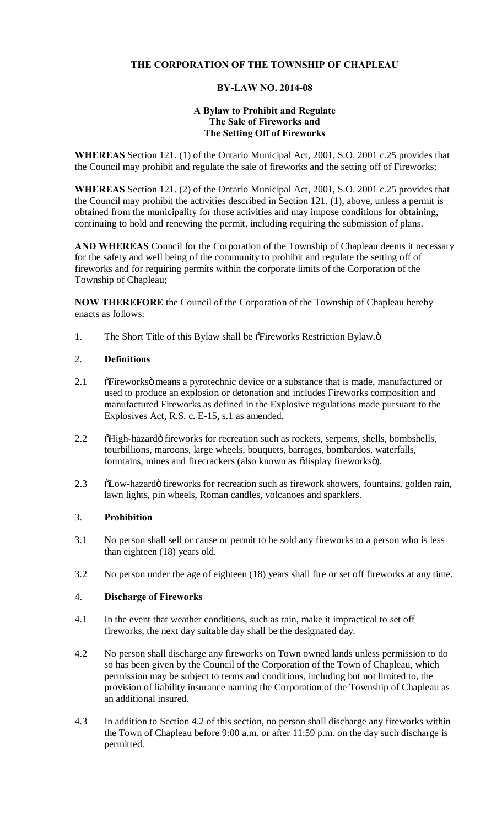# **THE CORPORATION OF THE TOWNSHIP OF CHAPLEAU**

### **BY-LAW NO. 2014-08**

### **A Bylaw to Prohibit and Regulate The Sale of Fireworks and The Setting Off of Fireworks**

**WHEREAS** Section 121. (1) of the Ontario Municipal Act, 2001, S.O. 2001 c.25 provides that the Council may prohibit and regulate the sale of fireworks and the setting off of Fireworks;

**WHEREAS** Section 121. (2) of the Ontario Municipal Act, 2001, S.O. 2001 c.25 provides that the Council may prohibit the activities described in Section 121. (1), above, unless a permit is obtained from the municipality for those activities and may impose conditions for obtaining, continuing to hold and renewing the permit, including requiring the submission of plans.

**AND WHEREAS** Council for the Corporation of the Township of Chapleau deems it necessary for the safety and well being of the community to prohibit and regulate the setting off of fireworks and for requiring permits within the corporate limits of the Corporation of the Township of Chapleau;

**NOW THEREFORE** the Council of the Corporation of the Township of Chapleau hereby enacts as follows:

1. The Short Title of this Bylaw shall be  $\delta$ Fireworks Restriction Bylaw. $\ddot{o}$ 

## 2. **Definitions**

- 2.1 " õFireworks means a pyrotechnic device or a substance that is made, manufactured or used to produce an explosion or detonation and includes Fireworks composition and manufactured Fireworks as defined in the Explosive regulations made pursuant to the Explosives Act, R.S. c. E-15, s.1 as amended.
- 2.2 " õHigh-hazardö fireworks for recreation such as rockets, serpents, shells, bombshells, tourbillions, maroons, large wheels, bouquets, barrages, bombardos, waterfalls, fountains, mines and firecrackers (also known as õdisplay fireworksö).
- 2.3 " õLow-hazardö fireworks for recreation such as firework showers, fountains, golden rain, lawn lights, pin wheels, Roman candles, volcanoes and sparklers.

## 3. **Prohibition**

- 3.1 No person shall sell or cause or permit to be sold any fireworks to a person who is less than eighteen (18) years old.
- 3.2 No person under the age of eighteen (18) years shall fire or set off fireworks at any time.

### 4. **Discharge of Fireworks**

- 4.1 In the event that weather conditions, such as rain, make it impractical to set off fireworks, the next day suitable day shall be the designated day.
- 4.2 No person shall discharge any fireworks on Town owned lands unless permission to do so has been given by the Council of the Corporation of the Town of Chapleau, which permission may be subject to terms and conditions, including but not limited to, the provision of liability insurance naming the Corporation of the Township of Chapleau as an additional insured.
- 4.3 In addition to Section 4.2 of this section, no person shall discharge any fireworks within the Town of Chapleau before 9:00 a.m. or after 11:59 p.m. on the day such discharge is permitted.